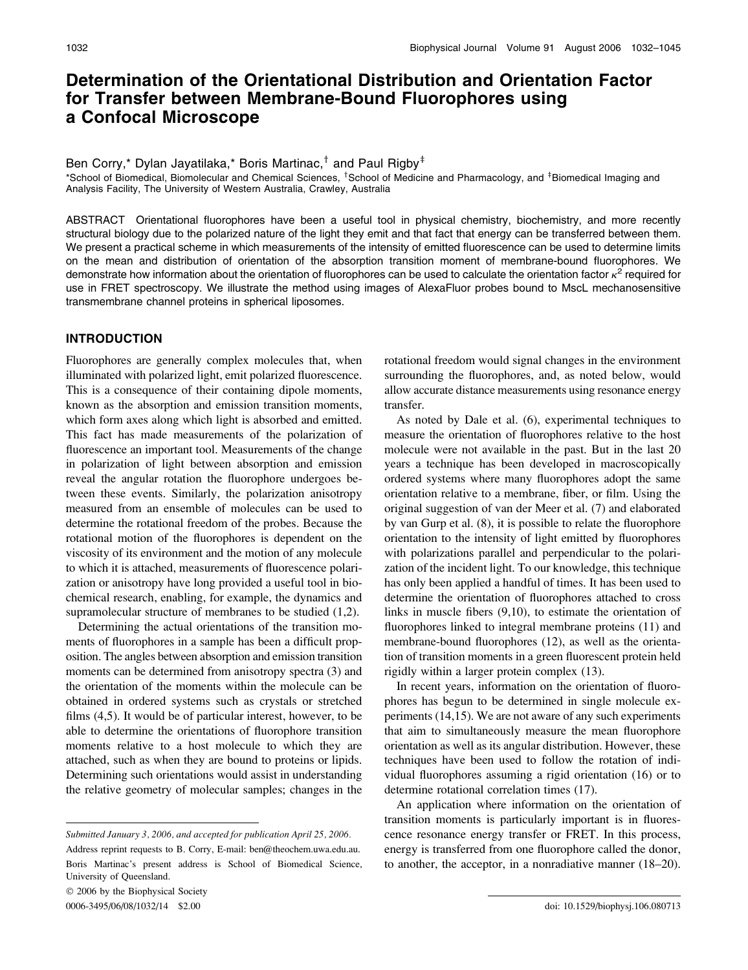# Determination of the Orientational Distribution and Orientation Factor for Transfer between Membrane-Bound Fluorophores using a Confocal Microscope

Ben Corry,\* Dylan Jayatilaka,\* Boris Martinac, $^{\dagger}$  and Paul Rigby $^{\dagger}$ 

\*School of Biomedical, Biomolecular and Chemical Sciences, <sup>†</sup>School of Medicine and Pharmacology, and <sup>‡</sup>Biomedical Imaging and Analysis Facility, The University of Western Australia, Crawley, Australia

ABSTRACT Orientational fluorophores have been a useful tool in physical chemistry, biochemistry, and more recently structural biology due to the polarized nature of the light they emit and that fact that energy can be transferred between them. We present a practical scheme in which measurements of the intensity of emitted fluorescence can be used to determine limits on the mean and distribution of orientation of the absorption transition moment of membrane-bound fluorophores. We demonstrate how information about the orientation of fluorophores can be used to calculate the orientation factor  $\kappa^2$  required for use in FRET spectroscopy. We illustrate the method using images of AlexaFluor probes bound to MscL mechanosensitive transmembrane channel proteins in spherical liposomes.

#### INTRODUCTION

Fluorophores are generally complex molecules that, when illuminated with polarized light, emit polarized fluorescence. This is a consequence of their containing dipole moments, known as the absorption and emission transition moments, which form axes along which light is absorbed and emitted. This fact has made measurements of the polarization of fluorescence an important tool. Measurements of the change in polarization of light between absorption and emission reveal the angular rotation the fluorophore undergoes between these events. Similarly, the polarization anisotropy measured from an ensemble of molecules can be used to determine the rotational freedom of the probes. Because the rotational motion of the fluorophores is dependent on the viscosity of its environment and the motion of any molecule to which it is attached, measurements of fluorescence polarization or anisotropy have long provided a useful tool in biochemical research, enabling, for example, the dynamics and supramolecular structure of membranes to be studied (1,2).

Determining the actual orientations of the transition moments of fluorophores in a sample has been a difficult proposition. The angles between absorption and emission transition moments can be determined from anisotropy spectra (3) and the orientation of the moments within the molecule can be obtained in ordered systems such as crystals or stretched films (4,5). It would be of particular interest, however, to be able to determine the orientations of fluorophore transition moments relative to a host molecule to which they are attached, such as when they are bound to proteins or lipids. Determining such orientations would assist in understanding the relative geometry of molecular samples; changes in the

Address reprint requests to B. Corry, E-mail: ben@theochem.uwa.edu.au. Boris Martinac's present address is School of Biomedical Science, University of Queensland.

2006 by the Biophysical Society

rotational freedom would signal changes in the environment surrounding the fluorophores, and, as noted below, would allow accurate distance measurements using resonance energy transfer.

As noted by Dale et al. (6), experimental techniques to measure the orientation of fluorophores relative to the host molecule were not available in the past. But in the last 20 years a technique has been developed in macroscopically ordered systems where many fluorophores adopt the same orientation relative to a membrane, fiber, or film. Using the original suggestion of van der Meer et al. (7) and elaborated by van Gurp et al. (8), it is possible to relate the fluorophore orientation to the intensity of light emitted by fluorophores with polarizations parallel and perpendicular to the polarization of the incident light. To our knowledge, this technique has only been applied a handful of times. It has been used to determine the orientation of fluorophores attached to cross links in muscle fibers (9,10), to estimate the orientation of fluorophores linked to integral membrane proteins (11) and membrane-bound fluorophores (12), as well as the orientation of transition moments in a green fluorescent protein held rigidly within a larger protein complex (13).

In recent years, information on the orientation of fluorophores has begun to be determined in single molecule experiments (14,15). We are not aware of any such experiments that aim to simultaneously measure the mean fluorophore orientation as well as its angular distribution. However, these techniques have been used to follow the rotation of individual fluorophores assuming a rigid orientation (16) or to determine rotational correlation times (17).

An application where information on the orientation of transition moments is particularly important is in fluorescence resonance energy transfer or FRET. In this process, energy is transferred from one fluorophore called the donor, to another, the acceptor, in a nonradiative manner (18–20).

Submitted January 3, 2006, and accepted for publication April 25, 2006.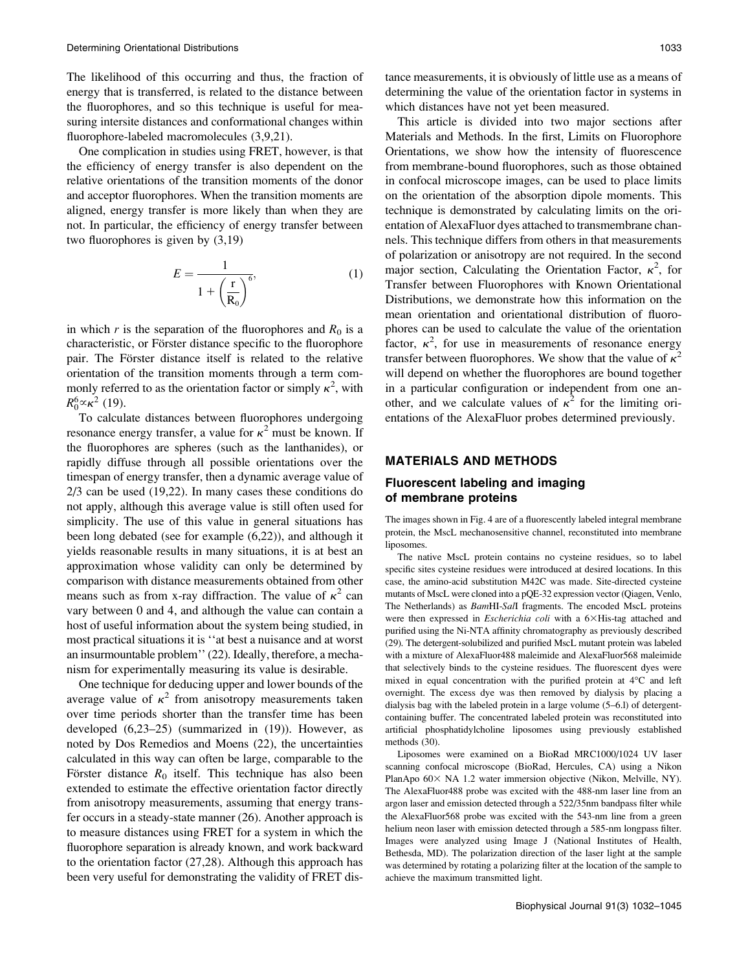The likelihood of this occurring and thus, the fraction of energy that is transferred, is related to the distance between the fluorophores, and so this technique is useful for measuring intersite distances and conformational changes within fluorophore-labeled macromolecules (3,9,21).

One complication in studies using FRET, however, is that the efficiency of energy transfer is also dependent on the relative orientations of the transition moments of the donor and acceptor fluorophores. When the transition moments are aligned, energy transfer is more likely than when they are not. In particular, the efficiency of energy transfer between two fluorophores is given by (3,19)

$$
E = \frac{1}{1 + \left(\frac{\mathbf{r}}{\mathbf{R}_0}\right)^6},\tag{1}
$$

in which r is the separation of the fluorophores and  $R_0$  is a characteristic, or Förster distance specific to the fluorophore pair. The Förster distance itself is related to the relative orientation of the transition moments through a term commonly referred to as the orientation factor or simply  $\kappa^2$ , with  $R_0^6 \propto \kappa^2$  (19).

To calculate distances between fluorophores undergoing resonance energy transfer, a value for  $\kappa^2$  must be known. If the fluorophores are spheres (such as the lanthanides), or rapidly diffuse through all possible orientations over the timespan of energy transfer, then a dynamic average value of 2/3 can be used (19,22). In many cases these conditions do not apply, although this average value is still often used for simplicity. The use of this value in general situations has been long debated (see for example (6,22)), and although it yields reasonable results in many situations, it is at best an approximation whose validity can only be determined by comparison with distance measurements obtained from other means such as from x-ray diffraction. The value of  $\kappa^2$  can vary between 0 and 4, and although the value can contain a host of useful information about the system being studied, in most practical situations it is ''at best a nuisance and at worst an insurmountable problem'' (22). Ideally, therefore, a mechanism for experimentally measuring its value is desirable.

One technique for deducing upper and lower bounds of the average value of  $\kappa^2$  from anisotropy measurements taken over time periods shorter than the transfer time has been developed (6,23–25) (summarized in (19)). However, as noted by Dos Remedios and Moens (22), the uncertainties calculated in this way can often be large, comparable to the Förster distance  $R_0$  itself. This technique has also been extended to estimate the effective orientation factor directly from anisotropy measurements, assuming that energy transfer occurs in a steady-state manner (26). Another approach is to measure distances using FRET for a system in which the fluorophore separation is already known, and work backward to the orientation factor (27,28). Although this approach has been very useful for demonstrating the validity of FRET dis-

tance measurements, it is obviously of little use as a means of determining the value of the orientation factor in systems in which distances have not yet been measured.

This article is divided into two major sections after Materials and Methods. In the first, Limits on Fluorophore Orientations, we show how the intensity of fluorescence from membrane-bound fluorophores, such as those obtained in confocal microscope images, can be used to place limits on the orientation of the absorption dipole moments. This technique is demonstrated by calculating limits on the orientation of AlexaFluor dyes attached to transmembrane channels. This technique differs from others in that measurements of polarization or anisotropy are not required. In the second major section, Calculating the Orientation Factor,  $\kappa^2$ , for Transfer between Fluorophores with Known Orientational Distributions, we demonstrate how this information on the mean orientation and orientational distribution of fluorophores can be used to calculate the value of the orientation factor,  $\kappa^2$ , for use in measurements of resonance energy transfer between fluorophores. We show that the value of  $\kappa^2$ will depend on whether the fluorophores are bound together in a particular configuration or independent from one another, and we calculate values of  $\kappa^2$  for the limiting orientations of the AlexaFluor probes determined previously.

### MATERIALS AND METHODS

#### Fluorescent labeling and imaging of membrane proteins

The images shown in Fig. 4 are of a fluorescently labeled integral membrane protein, the MscL mechanosensitive channel, reconstituted into membrane liposomes.

The native MscL protein contains no cysteine residues, so to label specific sites cysteine residues were introduced at desired locations. In this case, the amino-acid substitution M42C was made. Site-directed cysteine mutants of MscL were cloned into a pQE-32 expression vector (Qiagen, Venlo, The Netherlands) as BamHI-SalI fragments. The encoded MscL proteins were then expressed in *Escherichia coli* with a  $6 \times H$ is-tag attached and purified using the Ni-NTA affinity chromatography as previously described (29). The detergent-solubilized and purified MscL mutant protein was labeled with a mixture of AlexaFluor488 maleimide and AlexaFluor568 maleimide that selectively binds to the cysteine residues. The fluorescent dyes were mixed in equal concentration with the purified protein at  $4^{\circ}$ C and left overnight. The excess dye was then removed by dialysis by placing a dialysis bag with the labeled protein in a large volume (5–6.l) of detergentcontaining buffer. The concentrated labeled protein was reconstituted into artificial phosphatidylcholine liposomes using previously established methods (30).

Liposomes were examined on a BioRad MRC1000/1024 UV laser scanning confocal microscope (BioRad, Hercules, CA) using a Nikon PlanApo  $60 \times$  NA 1.2 water immersion objective (Nikon, Melville, NY). The AlexaFluor488 probe was excited with the 488-nm laser line from an argon laser and emission detected through a 522/35nm bandpass filter while the AlexaFluor568 probe was excited with the 543-nm line from a green helium neon laser with emission detected through a 585-nm longpass filter. Images were analyzed using Image J (National Institutes of Health, Bethesda, MD). The polarization direction of the laser light at the sample was determined by rotating a polarizing filter at the location of the sample to achieve the maximum transmitted light.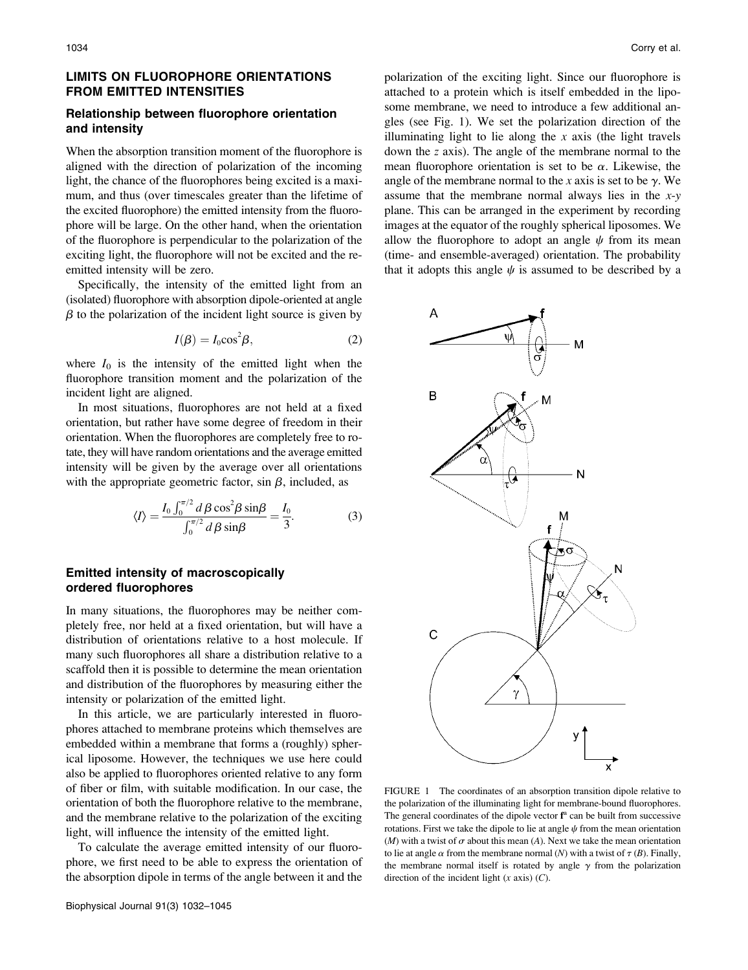# LIMITS ON FLUOROPHORE ORIENTATIONS FROM EMITTED INTENSITIES

# Relationship between fluorophore orientation and intensity

When the absorption transition moment of the fluorophore is aligned with the direction of polarization of the incoming light, the chance of the fluorophores being excited is a maximum, and thus (over timescales greater than the lifetime of the excited fluorophore) the emitted intensity from the fluorophore will be large. On the other hand, when the orientation of the fluorophore is perpendicular to the polarization of the exciting light, the fluorophore will not be excited and the reemitted intensity will be zero.

Specifically, the intensity of the emitted light from an (isolated) fluorophore with absorption dipole-oriented at angle  $\beta$  to the polarization of the incident light source is given by

$$
I(\beta) = I_0 \cos^2 \beta,\tag{2}
$$

where  $I_0$  is the intensity of the emitted light when the fluorophore transition moment and the polarization of the incident light are aligned.

In most situations, fluorophores are not held at a fixed orientation, but rather have some degree of freedom in their orientation. When the fluorophores are completely free to rotate, they will have random orientations and the average emitted intensity will be given by the average over all orientations with the appropriate geometric factor,  $\sin \beta$ , included, as

$$
\langle I \rangle = \frac{I_0 \int_0^{\pi/2} d\beta \cos^2 \beta \sin \beta}{\int_0^{\pi/2} d\beta \sin \beta} = \frac{I_0}{3}.
$$
 (3)

### Emitted intensity of macroscopically ordered fluorophores

In many situations, the fluorophores may be neither completely free, nor held at a fixed orientation, but will have a distribution of orientations relative to a host molecule. If many such fluorophores all share a distribution relative to a scaffold then it is possible to determine the mean orientation and distribution of the fluorophores by measuring either the intensity or polarization of the emitted light.

In this article, we are particularly interested in fluorophores attached to membrane proteins which themselves are embedded within a membrane that forms a (roughly) spherical liposome. However, the techniques we use here could also be applied to fluorophores oriented relative to any form of fiber or film, with suitable modification. In our case, the orientation of both the fluorophore relative to the membrane, and the membrane relative to the polarization of the exciting light, will influence the intensity of the emitted light.

To calculate the average emitted intensity of our fluorophore, we first need to be able to express the orientation of the absorption dipole in terms of the angle between it and the polarization of the exciting light. Since our fluorophore is attached to a protein which is itself embedded in the liposome membrane, we need to introduce a few additional angles (see Fig. 1). We set the polarization direction of the illuminating light to lie along the  $x$  axis (the light travels down the z axis). The angle of the membrane normal to the mean fluorophore orientation is set to be  $\alpha$ . Likewise, the angle of the membrane normal to the x axis is set to be  $\gamma$ . We assume that the membrane normal always lies in the  $x-y$ plane. This can be arranged in the experiment by recording images at the equator of the roughly spherical liposomes. We allow the fluorophore to adopt an angle  $\psi$  from its mean (time- and ensemble-averaged) orientation. The probability that it adopts this angle  $\psi$  is assumed to be described by a



FIGURE 1 The coordinates of an absorption transition dipole relative to the polarization of the illuminating light for membrane-bound fluorophores. The general coordinates of the dipole vector  $f<sup>a</sup>$  can be built from successive rotations. First we take the dipole to lie at angle  $\psi$  from the mean orientation (*M*) with a twist of  $\sigma$  about this mean (*A*). Next we take the mean orientation to lie at angle  $\alpha$  from the membrane normal (N) with a twist of  $\tau$  (B). Finally, the membrane normal itself is rotated by angle  $\gamma$  from the polarization direction of the incident light  $(x \text{ axis})$   $(C)$ .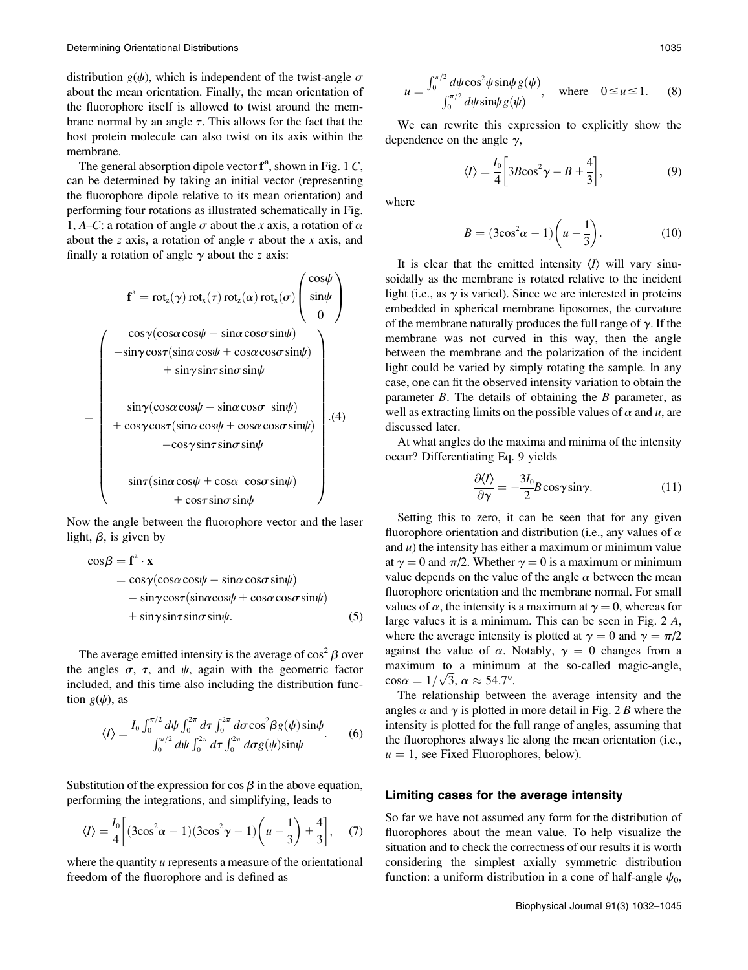distribution  $g(\psi)$ , which is independent of the twist-angle  $\sigma$ about the mean orientation. Finally, the mean orientation of the fluorophore itself is allowed to twist around the membrane normal by an angle  $\tau$ . This allows for the fact that the host protein molecule can also twist on its axis within the membrane.

The general absorption dipole vector  $f^a$ , shown in Fig. 1 C, can be determined by taking an initial vector (representing the fluorophore dipole relative to its mean orientation) and performing four rotations as illustrated schematically in Fig. 1, A–C: a rotation of angle  $\sigma$  about the x axis, a rotation of  $\alpha$ about the z axis, a rotation of angle  $\tau$  about the x axis, and finally a rotation of angle  $\gamma$  about the z axis:

$$
\mathbf{f}^{\mathfrak{a}} = \text{rot}_{z}(\gamma) \text{ rot}_{x}(\tau) \text{ rot}_{z}(\alpha) \text{ rot}_{x}(\sigma) \begin{pmatrix} \cos\psi \\ \sin\psi \\ 0 \end{pmatrix}
$$
  
\n
$$
- \sin\gamma \cos\gamma (\cos\alpha \cos\psi - \sin\alpha \cos\sigma \sin\psi) + \sin\gamma \sin\sigma \sin\psi
$$
  
\n
$$
+ \sin\gamma \sin\tau \sin\sigma \sin\psi
$$
  
\n
$$
+ \cos\gamma (\cos\alpha \cos\psi - \sin\alpha \cos\sigma \sin\psi)
$$
  
\n
$$
+ \cos\gamma \cos\tau (\sin\alpha \cos\psi + \cos\alpha \cos\sigma \sin\psi)
$$
  
\n
$$
- \cos\gamma \sin\tau \sin\sigma \sin\psi
$$
  
\n
$$
\sin\tau (\sin\alpha \cos\psi + \cos\alpha \cos\sigma \sin\psi)
$$
  
\n
$$
+ \cos\tau \sin\sigma \sin\psi
$$

Now the angle between the fluorophore vector and the laser light,  $\beta$ , is given by

$$
\cos \beta = \mathbf{f}^a \cdot \mathbf{x}
$$
  
=  $\cos \gamma (\cos \alpha \cos \psi - \sin \alpha \cos \sigma \sin \psi)$   
-  $\sin \gamma \cos \tau (\sin \alpha \cos \psi + \cos \alpha \cos \sigma \sin \psi)$   
+  $\sin \gamma \sin \tau \sin \sigma \sin \psi$ . (5)

The average emitted intensity is the average of  $\cos^2 \beta$  over the angles  $\sigma$ ,  $\tau$ , and  $\psi$ , again with the geometric factor included, and this time also including the distribution function  $g(\psi)$ , as

$$
\langle I \rangle = \frac{I_0 \int_0^{\pi/2} d\psi \int_0^{2\pi} d\tau \int_0^{2\pi} d\sigma \cos^2 \beta g(\psi) \sin \psi}{\int_0^{\pi/2} d\psi \int_0^{2\pi} d\tau \int_0^{2\pi} d\sigma g(\psi) \sin \psi}.
$$
 (6)

Substitution of the expression for  $\cos \beta$  in the above equation, performing the integrations, and simplifying, leads to

$$
\langle I \rangle = \frac{I_0}{4} \bigg[ (3\cos^2 \alpha - 1)(3\cos^2 \gamma - 1) \bigg( u - \frac{1}{3} \bigg) + \frac{4}{3} \bigg], \quad (7)
$$

where the quantity  $u$  represents a measure of the orientational freedom of the fluorophore and is defined as

$$
u = \frac{\int_0^{\pi/2} d\psi \cos^2 \psi \sin \psi g(\psi)}{\int_0^{\pi/2} d\psi \sin \psi g(\psi)}, \text{ where } 0 \le u \le 1.
$$
 (8)

We can rewrite this expression to explicitly show the dependence on the angle  $\gamma$ ,

$$
\langle I \rangle = \frac{I_0}{4} \left[ 3B \cos^2 \gamma - B + \frac{4}{3} \right],\tag{9}
$$

where

$$
B = (3\cos^2\alpha - 1)\left(u - \frac{1}{3}\right). \tag{10}
$$

It is clear that the emitted intensity  $\langle I \rangle$  will vary sinusoidally as the membrane is rotated relative to the incident light (i.e., as  $\gamma$  is varied). Since we are interested in proteins embedded in spherical membrane liposomes, the curvature of the membrane naturally produces the full range of  $\gamma$ . If the membrane was not curved in this way, then the angle between the membrane and the polarization of the incident light could be varied by simply rotating the sample. In any case, one can fit the observed intensity variation to obtain the parameter  $B$ . The details of obtaining the  $B$  parameter, as well as extracting limits on the possible values of  $\alpha$  and  $u$ , are discussed later.

At what angles do the maxima and minima of the intensity occur? Differentiating Eq. 9 yields

$$
\frac{\partial \langle I \rangle}{\partial \gamma} = -\frac{3I_0}{2} B \cos \gamma \sin \gamma.
$$
 (11)

Setting this to zero, it can be seen that for any given fluorophore orientation and distribution (i.e., any values of  $\alpha$ and  $u$ ) the intensity has either a maximum or minimum value at  $\gamma = 0$  and  $\pi/2$ . Whether  $\gamma = 0$  is a maximum or minimum value depends on the value of the angle  $\alpha$  between the mean fluorophore orientation and the membrane normal. For small values of  $\alpha$ , the intensity is a maximum at  $\gamma = 0$ , whereas for large values it is a minimum. This can be seen in Fig. 2 A, where the average intensity is plotted at  $\gamma = 0$  and  $\gamma = \pi/2$ against the value of  $\alpha$ . Notably,  $\gamma = 0$  changes from a maximum to a minimum at the so-called magic-angle, maximum to a minimum<br>cos $\alpha = 1/\sqrt{3}, \alpha \approx 54.7^{\circ}$ .

The relationship between the average intensity and the angles  $\alpha$  and  $\gamma$  is plotted in more detail in Fig. 2 B where the intensity is plotted for the full range of angles, assuming that the fluorophores always lie along the mean orientation (i.e.,  $u = 1$ , see Fixed Fluorophores, below).

#### Limiting cases for the average intensity

So far we have not assumed any form for the distribution of fluorophores about the mean value. To help visualize the situation and to check the correctness of our results it is worth considering the simplest axially symmetric distribution function: a uniform distribution in a cone of half-angle  $\psi_0$ ,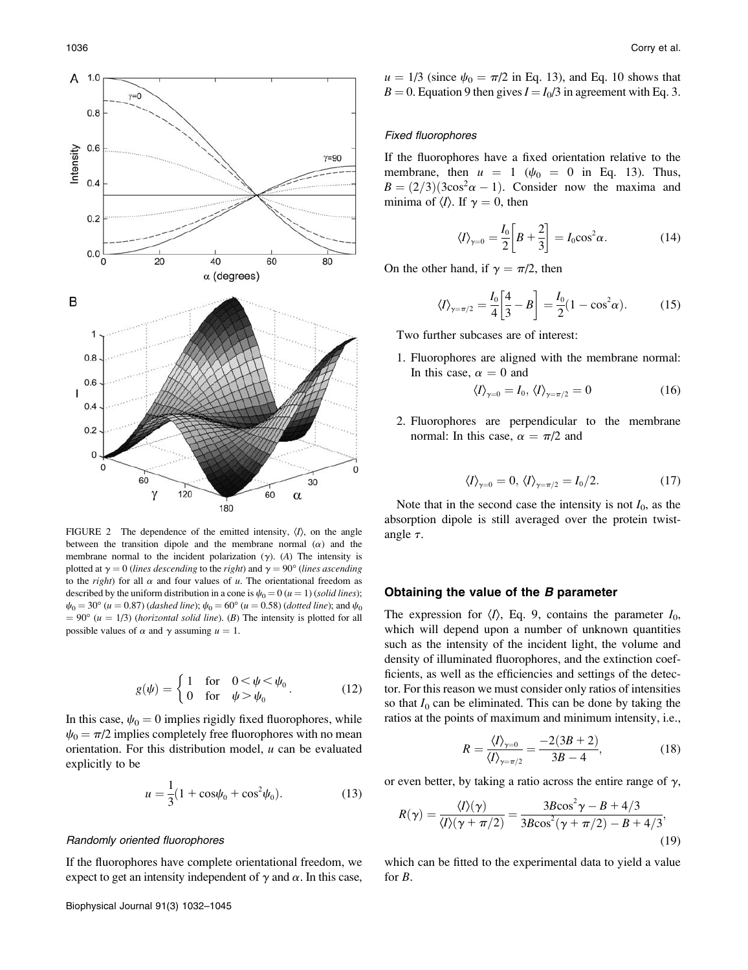

FIGURE 2 The dependence of the emitted intensity,  $\langle I \rangle$ , on the angle between the transition dipole and the membrane normal  $(\alpha)$  and the membrane normal to the incident polarization  $(y)$ . (A) The intensity is plotted at  $\gamma = 0$  (lines descending to the right) and  $\gamma = 90^{\circ}$  (lines ascending to the *right*) for all  $\alpha$  and four values of u. The orientational freedom as described by the uniform distribution in a cone is  $\psi_0 = 0$  ( $u = 1$ ) (solid lines);  $\psi_0 = 30^{\circ}$  (u = 0.87) (dashed line);  $\psi_0 = 60^{\circ}$  (u = 0.58) (dotted line); and  $\psi_0$  $= 90^{\circ}$  ( $u = 1/3$ ) (horizontal solid line). (B) The intensity is plotted for all possible values of  $\alpha$  and  $\gamma$  assuming  $u = 1$ .

$$
g(\psi) = \begin{cases} 1 & \text{for} \quad 0 < \psi < \psi_0 \\ 0 & \text{for} \quad \psi > \psi_0 \end{cases} \tag{12}
$$

In this case,  $\psi_0 = 0$  implies rigidly fixed fluorophores, while  $\psi_0 = \pi/2$  implies completely free fluorophores with no mean orientation. For this distribution model,  $u$  can be evaluated explicitly to be

$$
u = \frac{1}{3}(1 + \cos\psi_0 + \cos^2\psi_0). \tag{13}
$$

#### Randomly oriented fluorophores

If the fluorophores have complete orientational freedom, we expect to get an intensity independent of  $\gamma$  and  $\alpha$ . In this case,

 $u = 1/3$  (since  $\psi_0 = \pi/2$  in Eq. 13), and Eq. 10 shows that  $B = 0$ . Equation 9 then gives  $I = I_0/3$  in agreement with Eq. 3.

#### Fixed fluorophores

If the fluorophores have a fixed orientation relative to the membrane, then  $u = 1$  ( $\psi_0 = 0$  in Eq. 13). Thus,  $B = (2/3)(3\cos^2\alpha - 1)$ . Consider now the maxima and minima of  $\langle I \rangle$ . If  $\gamma = 0$ , then

$$
\langle I \rangle_{\gamma=0} = \frac{I_0}{2} \bigg[ B + \frac{2}{3} \bigg] = I_0 \cos^2 \alpha. \tag{14}
$$

On the other hand, if  $\gamma = \pi/2$ , then

$$
\langle I \rangle_{\gamma = \pi/2} = \frac{I_0}{4} \left[ \frac{4}{3} - B \right] = \frac{I_0}{2} (1 - \cos^2 \alpha). \tag{15}
$$

Two further subcases are of interest:

1. Fluorophores are aligned with the membrane normal: In this case,  $\alpha = 0$  and

$$
\langle I \rangle_{\gamma=0} = I_0, \langle I \rangle_{\gamma=\pi/2} = 0 \tag{16}
$$

2. Fluorophores are perpendicular to the membrane normal: In this case,  $\alpha = \pi/2$  and

$$
\langle I \rangle_{\gamma=0} = 0, \langle I \rangle_{\gamma=\pi/2} = I_0/2. \tag{17}
$$

Note that in the second case the intensity is not  $I_0$ , as the absorption dipole is still averaged over the protein twistangle  $\tau$ .

#### Obtaining the value of the  $B$  parameter

The expression for  $\langle I \rangle$ , Eq. 9, contains the parameter  $I_0$ , which will depend upon a number of unknown quantities such as the intensity of the incident light, the volume and density of illuminated fluorophores, and the extinction coefficients, as well as the efficiencies and settings of the detector. For this reason we must consider only ratios of intensities so that  $I_0$  can be eliminated. This can be done by taking the ratios at the points of maximum and minimum intensity, i.e.,

$$
R = \frac{\langle I \rangle_{\gamma=0}}{\langle I \rangle_{\gamma=\pi/2}} = \frac{-2(3B+2)}{3B-4},\tag{18}
$$

or even better, by taking a ratio across the entire range of  $\gamma$ ,

$$
R(\gamma) = \frac{\langle I \rangle(\gamma)}{\langle I \rangle(\gamma + \pi/2)} = \frac{3B\cos^2\gamma - B + 4/3}{3B\cos^2(\gamma + \pi/2) - B + 4/3},\tag{19}
$$

which can be fitted to the experimental data to yield a value for B.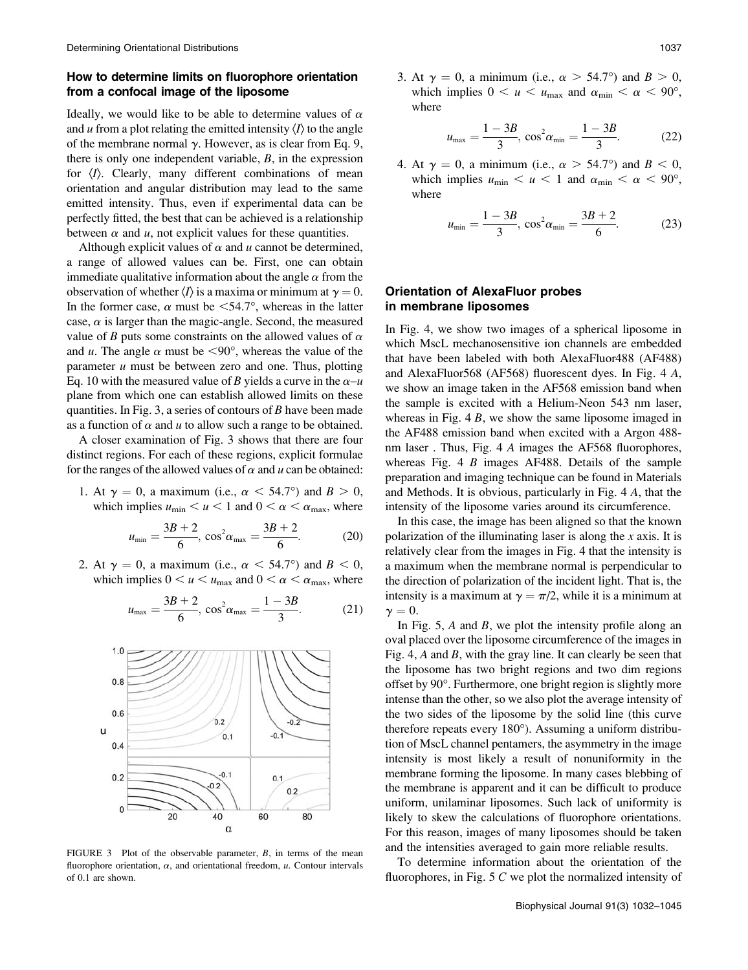### How to determine limits on fluorophore orientation from a confocal image of the liposome

Ideally, we would like to be able to determine values of  $\alpha$ and u from a plot relating the emitted intensity  $\langle I \rangle$  to the angle of the membrane normal  $\gamma$ . However, as is clear from Eq. 9, there is only one independent variable, B, in the expression for  $\langle I \rangle$ . Clearly, many different combinations of mean orientation and angular distribution may lead to the same emitted intensity. Thus, even if experimental data can be perfectly fitted, the best that can be achieved is a relationship between  $\alpha$  and  $u$ , not explicit values for these quantities.

Although explicit values of  $\alpha$  and  $u$  cannot be determined, a range of allowed values can be. First, one can obtain immediate qualitative information about the angle  $\alpha$  from the observation of whether  $\langle I \rangle$  is a maxima or minimum at  $\gamma = 0$ . In the former case,  $\alpha$  must be  $\leq 54.7^{\circ}$ , whereas in the latter case,  $\alpha$  is larger than the magic-angle. Second, the measured value of B puts some constraints on the allowed values of  $\alpha$ and *u*. The angle  $\alpha$  must be <90°, whereas the value of the parameter  $u$  must be between zero and one. Thus, plotting Eq. 10 with the measured value of B yields a curve in the  $\alpha$ –u plane from which one can establish allowed limits on these quantities. In Fig. 3, a series of contours of  $B$  have been made as a function of  $\alpha$  and  $\mu$  to allow such a range to be obtained.

A closer examination of Fig. 3 shows that there are four distinct regions. For each of these regions, explicit formulae for the ranges of the allowed values of  $\alpha$  and  $u$  can be obtained:

1. At  $\gamma = 0$ , a maximum (i.e.,  $\alpha < 54.7^{\circ}$ ) and  $B > 0$ , which implies  $u_{\text{min}} < u < 1$  and  $0 < \alpha < \alpha_{\text{max}}$ , where

$$
u_{\min} = \frac{3B + 2}{6}, \cos^2 \alpha_{\max} = \frac{3B + 2}{6}.
$$
 (20)

2. At  $\gamma = 0$ , a maximum (i.e.,  $\alpha < 54.7^{\circ}$ ) and  $B < 0$ , which implies  $0 < u < u_{\text{max}}$  and  $0 < \alpha < \alpha_{\text{max}}$ , where

$$
u_{\text{max}} = \frac{3B + 2}{6}, \cos^2 \alpha_{\text{max}} = \frac{1 - 3B}{3}.
$$
 (21)



FIGURE  $3$  Plot of the observable parameter,  $B$ , in terms of the mean fluorophore orientation,  $\alpha$ , and orientational freedom,  $u$ . Contour intervals of 0.1 are shown.

3. At  $\gamma = 0$ , a minimum (i.e.,  $\alpha > 54.7^{\circ}$ ) and  $B > 0$ , which implies  $0 < u < u_{\text{max}}$  and  $\alpha_{\text{min}} < \alpha < 90^{\circ}$ , where

$$
u_{\text{max}} = \frac{1 - 3B}{3}, \cos^2 \alpha_{\text{min}} = \frac{1 - 3B}{3}.
$$
 (22)

4. At  $\gamma = 0$ , a minimum (i.e.,  $\alpha > 54.7^{\circ}$ ) and  $B < 0$ , which implies  $u_{\min} < u < 1$  and  $\alpha_{\min} < \alpha < 90^{\circ}$ , where

$$
u_{\min} = \frac{1 - 3B}{3}, \cos^2 \alpha_{\min} = \frac{3B + 2}{6}.
$$
 (23)

# Orientation of AlexaFluor probes in membrane liposomes

In Fig. 4, we show two images of a spherical liposome in which MscL mechanosensitive ion channels are embedded that have been labeled with both AlexaFluor488 (AF488) and AlexaFluor568 (AF568) fluorescent dyes. In Fig. 4 A, we show an image taken in the AF568 emission band when the sample is excited with a Helium-Neon 543 nm laser, whereas in Fig.  $4 B$ , we show the same liposome imaged in the AF488 emission band when excited with a Argon 488 nm laser . Thus, Fig. 4 A images the AF568 fluorophores, whereas Fig. 4  $\overline{B}$  images AF488. Details of the sample preparation and imaging technique can be found in Materials and Methods. It is obvious, particularly in Fig. 4 A, that the intensity of the liposome varies around its circumference.

In this case, the image has been aligned so that the known polarization of the illuminating laser is along the  $x$  axis. It is relatively clear from the images in Fig. 4 that the intensity is a maximum when the membrane normal is perpendicular to the direction of polarization of the incident light. That is, the intensity is a maximum at  $\gamma = \pi/2$ , while it is a minimum at  $\gamma = 0.$ 

In Fig. 5,  $A$  and  $B$ , we plot the intensity profile along an oval placed over the liposome circumference of the images in Fig. 4, A and B, with the gray line. It can clearly be seen that the liposome has two bright regions and two dim regions offset by 90°. Furthermore, one bright region is slightly more intense than the other, so we also plot the average intensity of the two sides of the liposome by the solid line (this curve therefore repeats every 180°). Assuming a uniform distribution of MscL channel pentamers, the asymmetry in the image intensity is most likely a result of nonuniformity in the membrane forming the liposome. In many cases blebbing of the membrane is apparent and it can be difficult to produce uniform, unilaminar liposomes. Such lack of uniformity is likely to skew the calculations of fluorophore orientations. For this reason, images of many liposomes should be taken and the intensities averaged to gain more reliable results.

To determine information about the orientation of the fluorophores, in Fig.  $5 C$  we plot the normalized intensity of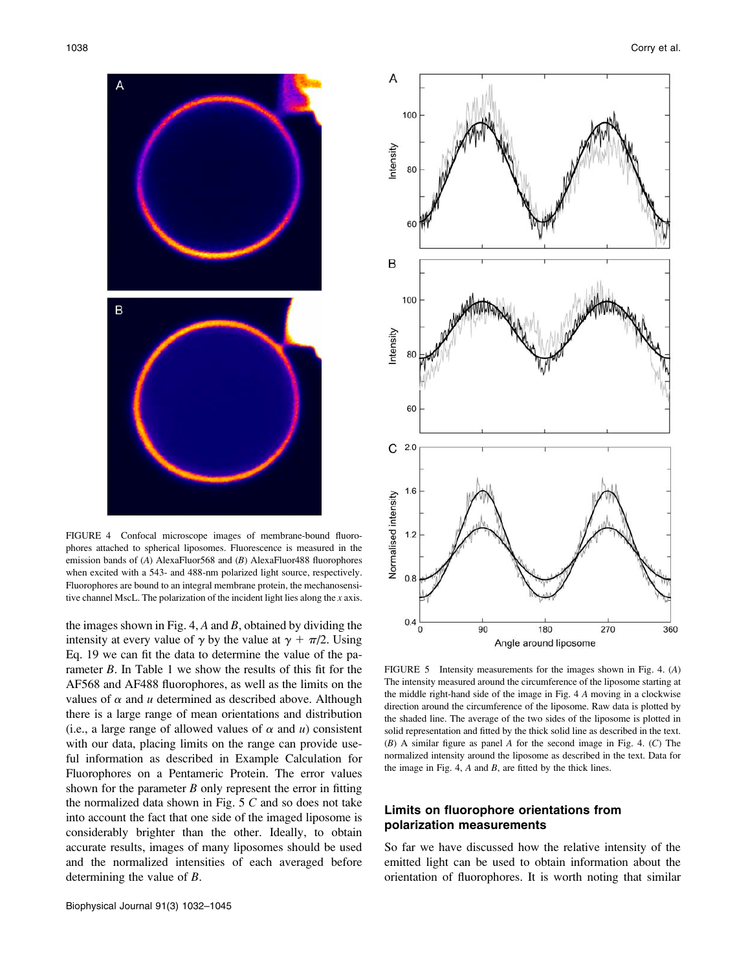

FIGURE 4 Confocal microscope images of membrane-bound fluorophores attached to spherical liposomes. Fluorescence is measured in the emission bands of (A) AlexaFluor568 and (B) AlexaFluor488 fluorophores when excited with a 543- and 488-nm polarized light source, respectively. Fluorophores are bound to an integral membrane protein, the mechanosensitive channel MscL. The polarization of the incident light lies along the  $x$  axis.

the images shown in Fig. 4,  $A$  and  $B$ , obtained by dividing the intensity at every value of  $\gamma$  by the value at  $\gamma + \pi/2$ . Using Eq. 19 we can fit the data to determine the value of the parameter B. In Table 1 we show the results of this fit for the AF568 and AF488 fluorophores, as well as the limits on the values of  $\alpha$  and  $u$  determined as described above. Although there is a large range of mean orientations and distribution (i.e., a large range of allowed values of  $\alpha$  and  $u$ ) consistent with our data, placing limits on the range can provide useful information as described in Example Calculation for Fluorophores on a Pentameric Protein. The error values shown for the parameter  $B$  only represent the error in fitting the normalized data shown in Fig.  $5 C$  and so does not take into account the fact that one side of the imaged liposome is considerably brighter than the other. Ideally, to obtain accurate results, images of many liposomes should be used and the normalized intensities of each averaged before determining the value of B.



FIGURE 5 Intensity measurements for the images shown in Fig. 4. (A) The intensity measured around the circumference of the liposome starting at the middle right-hand side of the image in Fig. 4 A moving in a clockwise direction around the circumference of the liposome. Raw data is plotted by the shaded line. The average of the two sides of the liposome is plotted in solid representation and fitted by the thick solid line as described in the text.  $(B)$  A similar figure as panel A for the second image in Fig. 4.  $(C)$  The normalized intensity around the liposome as described in the text. Data for the image in Fig. 4, A and B, are fitted by the thick lines.

# Limits on fluorophore orientations from polarization measurements

So far we have discussed how the relative intensity of the emitted light can be used to obtain information about the orientation of fluorophores. It is worth noting that similar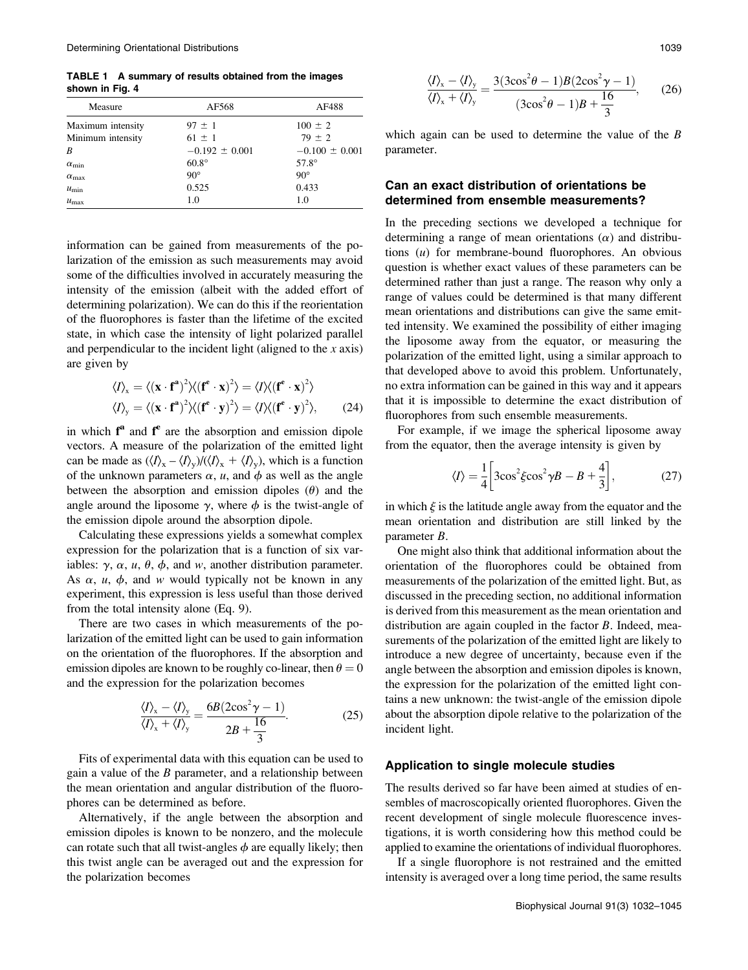TABLE 1 A summary of results obtained from the images shown in Fig. 4

| Measure               | AF568              | AF488              |  |
|-----------------------|--------------------|--------------------|--|
| Maximum intensity     | $97 \pm 1$         | $100 \pm 2$        |  |
| Minimum intensity     | $61 \pm 1$         | $79 \pm 2$         |  |
| B                     | $-0.192 \pm 0.001$ | $-0.100 \pm 0.001$ |  |
| $\alpha_{\min}$       | $60.8^\circ$       | $57.8^\circ$       |  |
| $\alpha_{\text{max}}$ | $90^{\circ}$       | $90^{\circ}$       |  |
| $u_{\min}$            | 0.525              | 0.433              |  |
| $u_{\text{max}}$      | 1.0                | 1.0                |  |

information can be gained from measurements of the polarization of the emission as such measurements may avoid some of the difficulties involved in accurately measuring the intensity of the emission (albeit with the added effort of determining polarization). We can do this if the reorientation of the fluorophores is faster than the lifetime of the excited state, in which case the intensity of light polarized parallel and perpendicular to the incident light (aligned to the  $x$  axis) are given by

$$
\langle I \rangle_{\mathbf{x}} = \langle (\mathbf{x} \cdot \mathbf{f}^{\mathbf{a}})^2 \rangle \langle (\mathbf{f}^{\mathbf{e}} \cdot \mathbf{x})^2 \rangle = \langle I \rangle \langle (\mathbf{f}^{\mathbf{e}} \cdot \mathbf{x})^2 \rangle
$$
  

$$
\langle I \rangle_{\mathbf{y}} = \langle (\mathbf{x} \cdot \mathbf{f}^{\mathbf{a}})^2 \rangle \langle (\mathbf{f}^{\mathbf{e}} \cdot \mathbf{y})^2 \rangle = \langle I \rangle \langle (\mathbf{f}^{\mathbf{e}} \cdot \mathbf{y})^2 \rangle, \qquad (24)
$$

in which  $f^a$  and  $f^e$  are the absorption and emission dipole vectors. A measure of the polarization of the emitted light can be made as  $(\langle I \rangle_{\rm x} - \langle I \rangle_{\rm y})/(\langle I \rangle_{\rm x} + \langle I \rangle_{\rm y})$ , which is a function of the unknown parameters  $\alpha$ ,  $u$ , and  $\phi$  as well as the angle between the absorption and emission dipoles  $(\theta)$  and the angle around the liposome  $\gamma$ , where  $\phi$  is the twist-angle of the emission dipole around the absorption dipole.

Calculating these expressions yields a somewhat complex expression for the polarization that is a function of six variables:  $\gamma$ ,  $\alpha$ ,  $u$ ,  $\theta$ ,  $\phi$ , and w, another distribution parameter. As  $\alpha$ ,  $u$ ,  $\phi$ , and w would typically not be known in any experiment, this expression is less useful than those derived from the total intensity alone (Eq. 9).

There are two cases in which measurements of the polarization of the emitted light can be used to gain information on the orientation of the fluorophores. If the absorption and emission dipoles are known to be roughly co-linear, then  $\theta = 0$ and the expression for the polarization becomes

$$
\frac{\langle I \rangle_x - \langle I \rangle_y}{\langle I \rangle_x + \langle I \rangle_y} = \frac{6B(2\cos^2 \gamma - 1)}{2B + \frac{16}{3}}.
$$
 (25)

Fits of experimental data with this equation can be used to gain a value of the  $B$  parameter, and a relationship between the mean orientation and angular distribution of the fluorophores can be determined as before.

Alternatively, if the angle between the absorption and emission dipoles is known to be nonzero, and the molecule can rotate such that all twist-angles  $\phi$  are equally likely; then this twist angle can be averaged out and the expression for the polarization becomes

$$
\frac{\langle I \rangle_{\mathsf{x}} - \langle I \rangle_{\mathsf{y}}}{\langle I \rangle_{\mathsf{x}} + \langle I \rangle_{\mathsf{y}}} = \frac{3(3\cos^2\theta - 1)B(2\cos^2\gamma - 1)}{(3\cos^2\theta - 1)B + \frac{16}{3}},\qquad(26)
$$

which again can be used to determine the value of the  $B$ parameter.

### Can an exact distribution of orientations be determined from ensemble measurements?

In the preceding sections we developed a technique for determining a range of mean orientations  $(\alpha)$  and distributions  $(u)$  for membrane-bound fluorophores. An obvious question is whether exact values of these parameters can be determined rather than just a range. The reason why only a range of values could be determined is that many different mean orientations and distributions can give the same emitted intensity. We examined the possibility of either imaging the liposome away from the equator, or measuring the polarization of the emitted light, using a similar approach to that developed above to avoid this problem. Unfortunately, no extra information can be gained in this way and it appears that it is impossible to determine the exact distribution of fluorophores from such ensemble measurements.

For example, if we image the spherical liposome away from the equator, then the average intensity is given by

$$
\langle I \rangle = \frac{1}{4} \left[ 3\cos^2 \xi \cos^2 \gamma B - B + \frac{4}{3} \right],\tag{27}
$$

in which  $\xi$  is the latitude angle away from the equator and the mean orientation and distribution are still linked by the parameter B.

One might also think that additional information about the orientation of the fluorophores could be obtained from measurements of the polarization of the emitted light. But, as discussed in the preceding section, no additional information is derived from this measurement as the mean orientation and distribution are again coupled in the factor B. Indeed, measurements of the polarization of the emitted light are likely to introduce a new degree of uncertainty, because even if the angle between the absorption and emission dipoles is known, the expression for the polarization of the emitted light contains a new unknown: the twist-angle of the emission dipole about the absorption dipole relative to the polarization of the incident light.

#### Application to single molecule studies

The results derived so far have been aimed at studies of ensembles of macroscopically oriented fluorophores. Given the recent development of single molecule fluorescence investigations, it is worth considering how this method could be applied to examine the orientations of individual fluorophores.

If a single fluorophore is not restrained and the emitted intensity is averaged over a long time period, the same results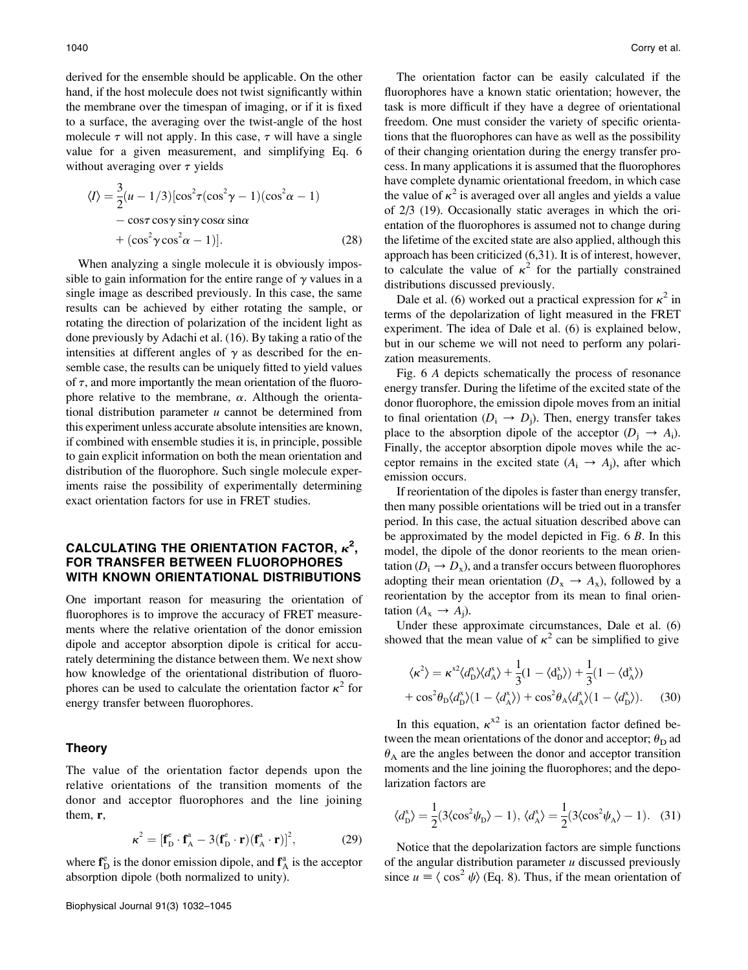derived for the ensemble should be applicable. On the other hand, if the host molecule does not twist significantly within the membrane over the timespan of imaging, or if it is fixed to a surface, the averaging over the twist-angle of the host molecule  $\tau$  will not apply. In this case,  $\tau$  will have a single value for a given measurement, and simplifying Eq. 6 without averaging over  $\tau$  yields

$$
\langle I \rangle = \frac{3}{2} (u - 1/3) [\cos^2 \tau (\cos^2 \gamma - 1) (\cos^2 \alpha - 1) - \cos \tau \cos \gamma \sin \gamma \cos \alpha \sin \alpha + (\cos^2 \gamma \cos^2 \alpha - 1)].
$$
 (28)

When analyzing a single molecule it is obviously impossible to gain information for the entire range of  $\gamma$  values in a single image as described previously. In this case, the same results can be achieved by either rotating the sample, or rotating the direction of polarization of the incident light as done previously by Adachi et al. (16). By taking a ratio of the intensities at different angles of  $\gamma$  as described for the ensemble case, the results can be uniquely fitted to yield values of  $\tau$ , and more importantly the mean orientation of the fluorophore relative to the membrane,  $\alpha$ . Although the orientational distribution parameter  $u$  cannot be determined from this experiment unless accurate absolute intensities are known, if combined with ensemble studies it is, in principle, possible to gain explicit information on both the mean orientation and distribution of the fluorophore. Such single molecule experiments raise the possibility of experimentally determining exact orientation factors for use in FRET studies.

# CALCULATING THE ORIENTATION FACTOR,  $\kappa^2$ , FOR TRANSFER BETWEEN FLUOROPHORES WITH KNOWN ORIENTATIONAL DISTRIBUTIONS

One important reason for measuring the orientation of fluorophores is to improve the accuracy of FRET measurements where the relative orientation of the donor emission dipole and acceptor absorption dipole is critical for accurately determining the distance between them. We next show how knowledge of the orientational distribution of fluorophores can be used to calculate the orientation factor  $\kappa^2$  for energy transfer between fluorophores.

#### Theory

The value of the orientation factor depends upon the relative orientations of the transition moments of the donor and acceptor fluorophores and the line joining them, r,

$$
\kappa^2 = [\mathbf{f}_{\mathrm{D}}^{\mathrm{e}} \cdot \mathbf{f}_{\mathrm{A}}^{\mathrm{a}} - 3(\mathbf{f}_{\mathrm{D}}^{\mathrm{e}} \cdot \mathbf{r})(\mathbf{f}_{\mathrm{A}}^{\mathrm{a}} \cdot \mathbf{r})]^2, \tag{29}
$$

where  $f_D^e$  is the donor emission dipole, and  $f_A^a$  is the acceptor absorption dipole (both normalized to unity).

The orientation factor can be easily calculated if the fluorophores have a known static orientation; however, the task is more difficult if they have a degree of orientational freedom. One must consider the variety of specific orientations that the fluorophores can have as well as the possibility of their changing orientation during the energy transfer process. In many applications it is assumed that the fluorophores have complete dynamic orientational freedom, in which case the value of  $\kappa^2$  is averaged over all angles and yields a value of 2/3 (19). Occasionally static averages in which the orientation of the fluorophores is assumed not to change during the lifetime of the excited state are also applied, although this approach has been criticized (6,31). It is of interest, however, to calculate the value of  $\kappa^2$  for the partially constrained distributions discussed previously.

Dale et al. (6) worked out a practical expression for  $\kappa^2$  in terms of the depolarization of light measured in the FRET experiment. The idea of Dale et al. (6) is explained below, but in our scheme we will not need to perform any polarization measurements.

Fig. 6 A depicts schematically the process of resonance energy transfer. During the lifetime of the excited state of the donor fluorophore, the emission dipole moves from an initial to final orientation  $(D_i \rightarrow D_i)$ . Then, energy transfer takes place to the absorption dipole of the acceptor  $(D_i \rightarrow A_i)$ . Finally, the acceptor absorption dipole moves while the acceptor remains in the excited state  $(A_i \rightarrow A_i)$ , after which emission occurs.

If reorientation of the dipoles is faster than energy transfer, then many possible orientations will be tried out in a transfer period. In this case, the actual situation described above can be approximated by the model depicted in Fig. 6 B. In this model, the dipole of the donor reorients to the mean orientation  $(D_i \rightarrow D_x)$ , and a transfer occurs between fluorophores adopting their mean orientation ( $D_x \rightarrow A_x$ ), followed by a reorientation by the acceptor from its mean to final orientation  $(A_x \rightarrow A_i)$ .

Under these approximate circumstances, Dale et al. (6) showed that the mean value of  $\kappa^2$  can be simplified to give

$$
\langle \kappa^2 \rangle = \kappa^{x^2} \langle d_{\text{D}}^x \rangle \langle d_{\text{A}}^x \rangle + \frac{1}{3} (1 - \langle d_{\text{D}}^x \rangle) + \frac{1}{3} (1 - \langle d_{\text{A}}^x \rangle)
$$
  
+  $\cos^2 \theta_{\text{D}} \langle d_{\text{D}}^x \rangle (1 - \langle d_{\text{A}}^x \rangle) + \cos^2 \theta_{\text{A}} \langle d_{\text{A}}^x \rangle (1 - \langle d_{\text{D}}^x \rangle). \tag{30}$ 

In this equation,  $\kappa^{x^2}$  is an orientation factor defined between the mean orientations of the donor and acceptor;  $\theta_D$  ad  $\theta_A$  are the angles between the donor and acceptor transition moments and the line joining the fluorophores; and the depolarization factors are

$$
\langle d_{\rm D}^{\rm x} \rangle = \frac{1}{2} (3 \langle \cos^2 \psi_{\rm D} \rangle - 1), \, \langle d_{\rm A}^{\rm x} \rangle = \frac{1}{2} (3 \langle \cos^2 \psi_{\rm A} \rangle - 1). \tag{31}
$$

Notice that the depolarization factors are simple functions of the angular distribution parameter  $u$  discussed previously since  $u \equiv \langle \cos^2 \psi \rangle$  (Eq. 8). Thus, if the mean orientation of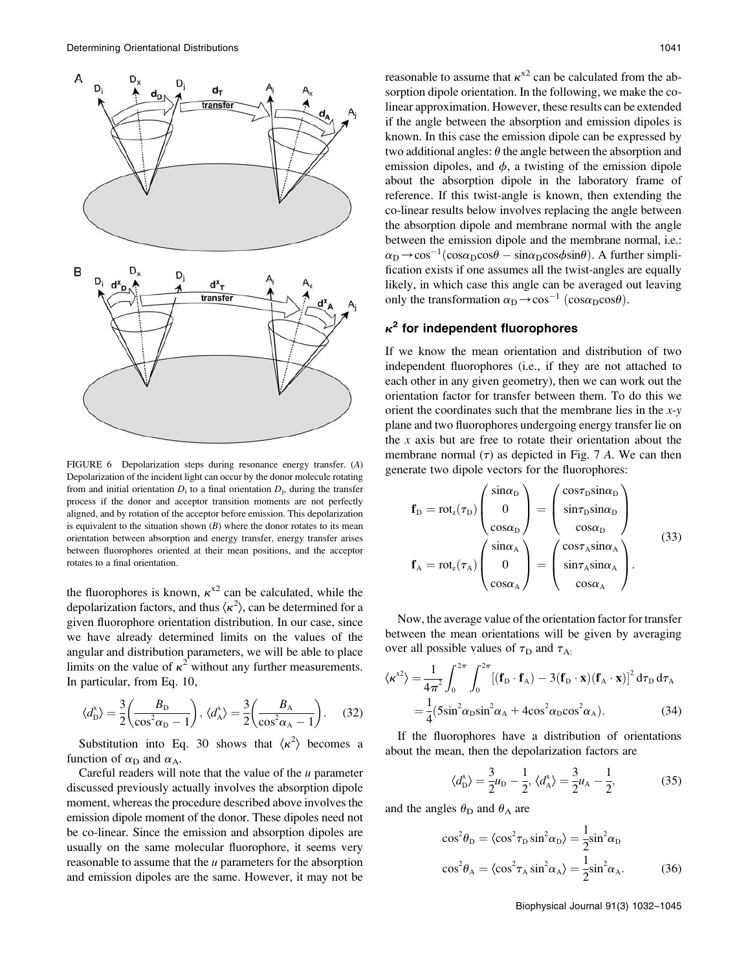

FIGURE 6 Depolarization steps during resonance energy transfer. (A) Depolarization of the incident light can occur by the donor molecule rotating from and initial orientation  $D_i$  to a final orientation  $D_i$ , during the transfer process if the donor and acceptor transition moments are not perfectly aligned, and by rotation of the acceptor before emission. This depolarization is equivalent to the situation shown  $(B)$  where the donor rotates to its mean orientation between absorption and energy transfer, energy transfer arises between fluorophores oriented at their mean positions, and the acceptor rotates to a final orientation.

the fluorophores is known,  $\kappa^{x^2}$  can be calculated, while the depolarization factors, and thus  $\langle \kappa^2 \rangle$ , can be determined for a given fluorophore orientation distribution. In our case, since we have already determined limits on the values of the angular and distribution parameters, we will be able to place limits on the value of  $\kappa^2$  without any further measurements. In particular, from Eq. 10,

$$
\langle d_{\rm D}^{\rm x} \rangle = \frac{3}{2} \left( \frac{B_{\rm D}}{\cos^2 \alpha_{\rm D} - 1} \right), \, \langle d_{\rm A}^{\rm x} \rangle = \frac{3}{2} \left( \frac{B_{\rm A}}{\cos^2 \alpha_{\rm A} - 1} \right). \tag{32}
$$

Substitution into Eq. 30 shows that  $\langle \kappa^2 \rangle$  becomes a function of  $\alpha_{\rm D}$  and  $\alpha_{\rm A}$ .

Careful readers will note that the value of the  $u$  parameter discussed previously actually involves the absorption dipole moment, whereas the procedure described above involves the emission dipole moment of the donor. These dipoles need not be co-linear. Since the emission and absorption dipoles are usually on the same molecular fluorophore, it seems very reasonable to assume that the  $u$  parameters for the absorption and emission dipoles are the same. However, it may not be

reasonable to assume that  $\kappa^{x^2}$  can be calculated from the absorption dipole orientation. In the following, we make the colinear approximation. However, these results can be extended if the angle between the absorption and emission dipoles is known. In this case the emission dipole can be expressed by two additional angles:  $\theta$  the angle between the absorption and emission dipoles, and  $\phi$ , a twisting of the emission dipole about the absorption dipole in the laboratory frame of reference. If this twist-angle is known, then extending the co-linear results below involves replacing the angle between the absorption dipole and membrane normal with the angle between the emission dipole and the membrane normal, i.e.:  $\alpha_D \rightarrow \cos^{-1}(\cos \alpha_D \cos \theta - \sin \alpha_D \cos \phi \sin \theta)$ . A further simplification exists if one assumes all the twist-angles are equally likely, in which case this angle can be averaged out leaving only the transformation  $\alpha_D \rightarrow \cos^{-1} (\cos \alpha_D \cos \theta)$ .

# $\kappa^2$  for independent fluorophores

If we know the mean orientation and distribution of two independent fluorophores (i.e., if they are not attached to each other in any given geometry), then we can work out the orientation factor for transfer between them. To do this we orient the coordinates such that the membrane lies in the  $x-y$ plane and two fluorophores undergoing energy transfer lie on the  $x$  axis but are free to rotate their orientation about the membrane normal  $(\tau)$  as depicted in Fig. 7 A. We can then generate two dipole vectors for the fluorophores:

$$
\mathbf{f}_{D} = \text{rot}_{z}(\tau_{D}) \begin{pmatrix} \sin \alpha_{D} \\ 0 \\ \cos \alpha_{D} \end{pmatrix} = \begin{pmatrix} \cos \tau_{D} \sin \alpha_{D} \\ \sin \tau_{D} \sin \alpha_{D} \\ \cos \alpha_{D} \end{pmatrix}
$$
\n
$$
\mathbf{f}_{A} = \text{rot}_{z}(\tau_{A}) \begin{pmatrix} \sin \alpha_{A} \\ 0 \\ \cos \alpha_{A} \end{pmatrix} = \begin{pmatrix} \cos \tau_{A} \sin \alpha_{A} \\ \sin \tau_{A} \sin \alpha_{A} \\ \cos \alpha_{A} \end{pmatrix}.
$$
\n(33)

Now, the average value of the orientation factor for transfer between the mean orientations will be given by averaging over all possible values of  $\tau_D$  and  $\tau_A$ .

$$
\langle \kappa^{x2} \rangle = \frac{1}{4\pi^2} \int_0^{2\pi} \int_0^{2\pi} \left[ (\mathbf{f}_D \cdot \mathbf{f}_A) - 3(\mathbf{f}_D \cdot \mathbf{x}) (\mathbf{f}_A \cdot \mathbf{x}) \right]^2 d\tau_D d\tau_A
$$
  
= 
$$
\frac{1}{4} (5\sin^2 \alpha_D \sin^2 \alpha_A + 4\cos^2 \alpha_D \cos^2 \alpha_A).
$$
 (34)

If the fluorophores have a distribution of orientations about the mean, then the depolarization factors are

$$
\langle d_{\rm D}^{\rm x} \rangle = \frac{3}{2} u_{\rm D} - \frac{1}{2}, \langle d_{\rm A}^{\rm x} \rangle = \frac{3}{2} u_{\rm A} - \frac{1}{2}, \tag{35}
$$

and the angles  $\theta_{\rm D}$  and  $\theta_{\rm A}$  are

$$
\cos^2 \theta_{\rm D} = \langle \cos^2 \tau_{\rm D} \sin^2 \alpha_{\rm D} \rangle = \frac{1}{2} \sin^2 \alpha_{\rm D}
$$

$$
\cos^2 \theta_{\rm A} = \langle \cos^2 \tau_{\rm A} \sin^2 \alpha_{\rm A} \rangle = \frac{1}{2} \sin^2 \alpha_{\rm A}.
$$
(36)

Biophysical Journal 91(3) 1032–1045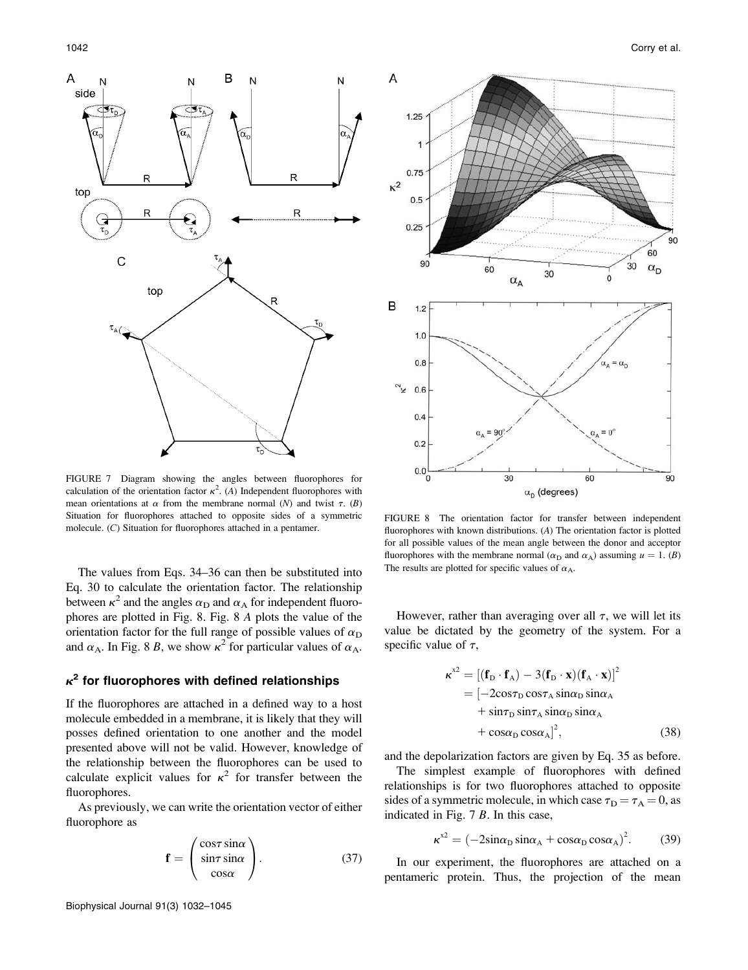

FIGURE 7 Diagram showing the angles between fluorophores for calculation of the orientation factor  $\kappa^2$ . (A) Independent fluorophores with mean orientations at  $\alpha$  from the membrane normal (N) and twist  $\tau$ . (B) Situation for fluorophores attached to opposite sides of a symmetric molecule. (C) Situation for fluorophores attached in a pentamer.

The values from Eqs. 34–36 can then be substituted into Eq. 30 to calculate the orientation factor. The relationship between  $\kappa^2$  and the angles  $\alpha_{\rm D}$  and  $\alpha_{\rm A}$  for independent fluorophores are plotted in Fig. 8. Fig. 8 A plots the value of the orientation factor for the full range of possible values of  $\alpha_D$ and  $\alpha_A$ . In Fig. 8 B, we show  $\kappa^2$  for particular values of  $\alpha_A$ .

#### $\kappa^2$  for fluorophores with defined relationships

If the fluorophores are attached in a defined way to a host molecule embedded in a membrane, it is likely that they will posses defined orientation to one another and the model presented above will not be valid. However, knowledge of the relationship between the fluorophores can be used to calculate explicit values for  $\kappa^2$  for transfer between the fluorophores.

As previously, we can write the orientation vector of either fluorophore as

$$
\mathbf{f} = \begin{pmatrix} \cos \tau \sin \alpha \\ \sin \tau \sin \alpha \\ \cos \alpha \end{pmatrix}.
$$
 (37)



FIGURE 8 The orientation factor for transfer between independent fluorophores with known distributions. (A) The orientation factor is plotted for all possible values of the mean angle between the donor and acceptor fluorophores with the membrane normal ( $\alpha_D$  and  $\alpha_A$ ) assuming  $u = 1$ . (B) The results are plotted for specific values of  $\alpha_A$ .

However, rather than averaging over all  $\tau$ , we will let its value be dictated by the geometry of the system. For a specific value of  $\tau$ ,

$$
\kappa^{x2} = \left[ (\mathbf{f}_D \cdot \mathbf{f}_A) - 3(\mathbf{f}_D \cdot \mathbf{x})(\mathbf{f}_A \cdot \mathbf{x}) \right]^2
$$
  
= \left[ -2\cos\tau\_D \cos\tau\_A \sin\alpha\_D \sin\alpha\_A \right.   
+ \sin\tau\_D \sin\tau\_A \sin\alpha\_D \sin\alpha\_A   
+ \cos\alpha\_D \cos\alpha\_A \right]^2, (38)

and the depolarization factors are given by Eq. 35 as before.

The simplest example of fluorophores with defined relationships is for two fluorophores attached to opposite sides of a symmetric molecule, in which case  $\tau_D = \tau_A = 0$ , as indicated in Fig. 7 B. In this case,

$$
\kappa^{x^2} = (-2\sin\alpha_D \sin\alpha_A + \cos\alpha_D \cos\alpha_A)^2. \tag{39}
$$

In our experiment, the fluorophores are attached on a pentameric protein. Thus, the projection of the mean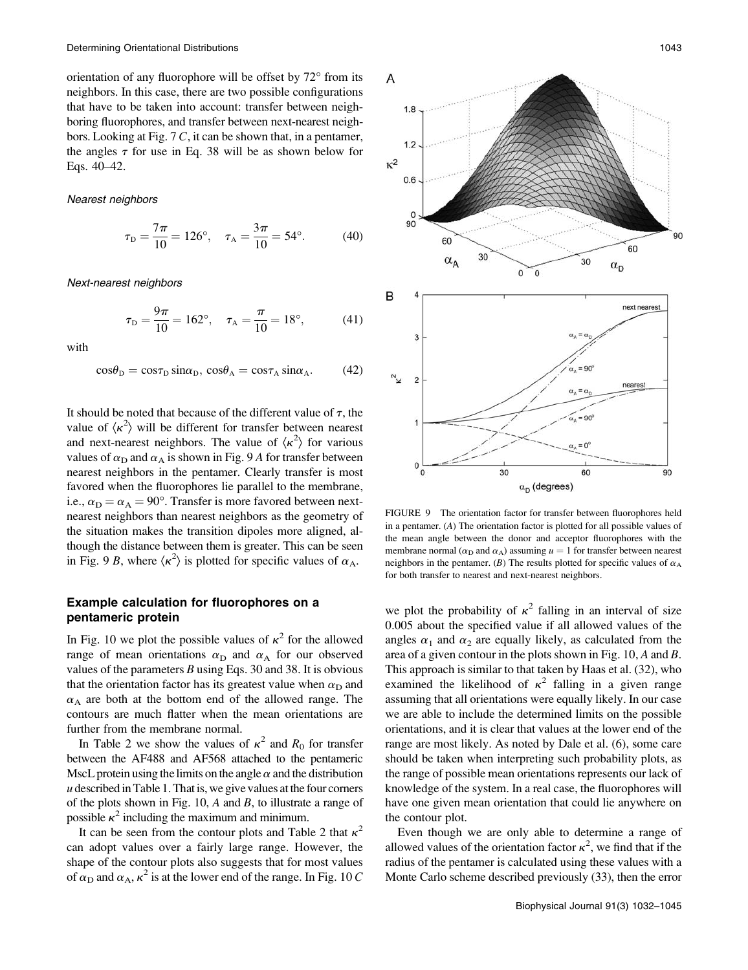orientation of any fluorophore will be offset by  $72^{\circ}$  from its neighbors. In this case, there are two possible configurations that have to be taken into account: transfer between neighboring fluorophores, and transfer between next-nearest neighbors. Looking at Fig. 7 C, it can be shown that, in a pentamer, the angles  $\tau$  for use in Eq. 38 will be as shown below for Eqs. 40–42.

Nearest neighbors

$$
\tau_{\rm D} = \frac{7\pi}{10} = 126^{\circ}, \quad \tau_{\rm A} = \frac{3\pi}{10} = 54^{\circ}.
$$
 (40)

Next-nearest neighbors

$$
\tau_{\rm D} = \frac{9\pi}{10} = 162^{\circ}, \quad \tau_{\rm A} = \frac{\pi}{10} = 18^{\circ}, \tag{41}
$$

with

$$
\cos\theta_{\rm D} = \cos\tau_{\rm D}\sin\alpha_{\rm D}, \cos\theta_{\rm A} = \cos\tau_{\rm A}\sin\alpha_{\rm A}.\tag{42}
$$

It should be noted that because of the different value of  $\tau$ , the value of  $\langle \kappa^2 \rangle$  will be different for transfer between nearest and next-nearest neighbors. The value of  $\langle \kappa^2 \rangle$  for various values of  $\alpha_D$  and  $\alpha_A$  is shown in Fig. 9 A for transfer between nearest neighbors in the pentamer. Clearly transfer is most favored when the fluorophores lie parallel to the membrane, i.e.,  $\alpha_{\rm D} = \alpha_{\rm A} = 90^{\circ}$ . Transfer is more favored between nextnearest neighbors than nearest neighbors as the geometry of the situation makes the transition dipoles more aligned, although the distance between them is greater. This can be seen in Fig. 9 B, where  $\langle \kappa^2 \rangle$  is plotted for specific values of  $\alpha_A$ .

# Example calculation for fluorophores on a pentameric protein

In Fig. 10 we plot the possible values of  $\kappa^2$  for the allowed range of mean orientations  $\alpha_D$  and  $\alpha_A$  for our observed values of the parameters  $B$  using Eqs. 30 and 38. It is obvious that the orientation factor has its greatest value when  $\alpha_D$  and  $\alpha_A$  are both at the bottom end of the allowed range. The contours are much flatter when the mean orientations are further from the membrane normal.

In Table 2 we show the values of  $\kappa^2$  and  $R_0$  for transfer between the AF488 and AF568 attached to the pentameric MscL protein using the limits on the angle  $\alpha$  and the distribution  $u$  described in Table 1. That is, we give values at the four corners of the plots shown in Fig. 10,  $A$  and  $B$ , to illustrate a range of possible  $\kappa^2$  including the maximum and minimum.

It can be seen from the contour plots and Table 2 that  $\kappa^2$ can adopt values over a fairly large range. However, the shape of the contour plots also suggests that for most values of  $\alpha_D$  and  $\alpha_A$ ,  $\kappa^2$  is at the lower end of the range. In Fig. 10 C



FIGURE 9 The orientation factor for transfer between fluorophores held in a pentamer. (A) The orientation factor is plotted for all possible values of the mean angle between the donor and acceptor fluorophores with the membrane normal ( $\alpha_D$  and  $\alpha_A$ ) assuming  $u = 1$  for transfer between nearest neighbors in the pentamer. (B) The results plotted for specific values of  $\alpha_A$ for both transfer to nearest and next-nearest neighbors.

we plot the probability of  $\kappa^2$  falling in an interval of size 0.005 about the specified value if all allowed values of the angles  $\alpha_1$  and  $\alpha_2$  are equally likely, as calculated from the area of a given contour in the plots shown in Fig. 10, A and B. This approach is similar to that taken by Haas et al. (32), who examined the likelihood of  $\kappa^2$  falling in a given range assuming that all orientations were equally likely. In our case we are able to include the determined limits on the possible orientations, and it is clear that values at the lower end of the range are most likely. As noted by Dale et al. (6), some care should be taken when interpreting such probability plots, as the range of possible mean orientations represents our lack of knowledge of the system. In a real case, the fluorophores will have one given mean orientation that could lie anywhere on the contour plot.

Even though we are only able to determine a range of allowed values of the orientation factor  $\kappa^2$ , we find that if the radius of the pentamer is calculated using these values with a Monte Carlo scheme described previously (33), then the error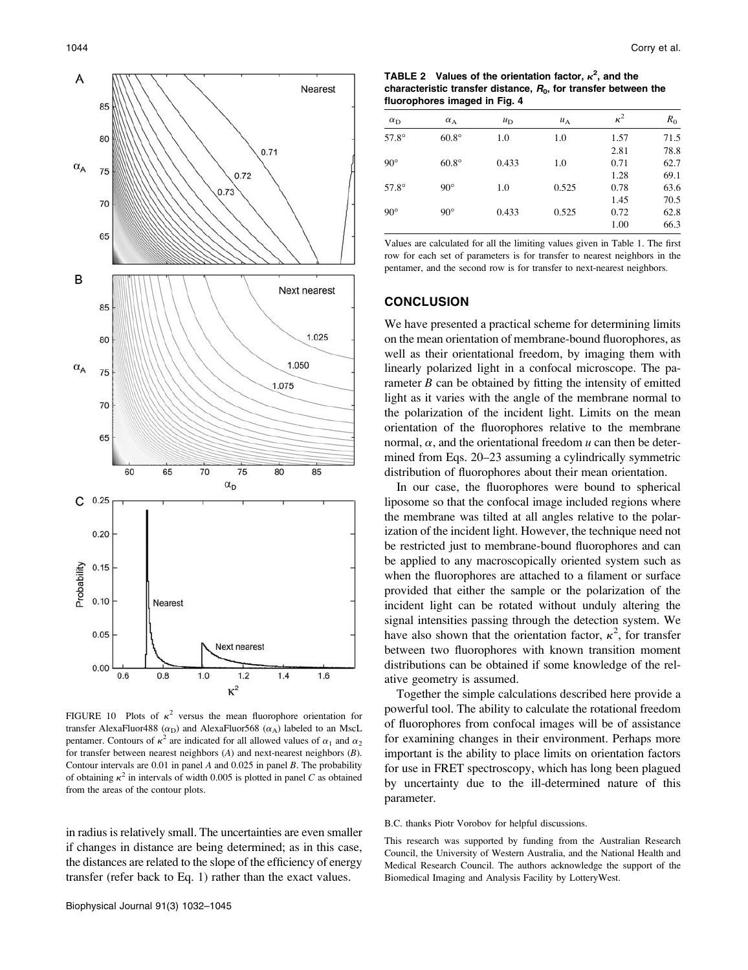

FIGURE 10 Plots of  $\kappa^2$  versus the mean fluorophore orientation for transfer AlexaFluor488 ( $\alpha_D$ ) and AlexaFluor568 ( $\alpha_A$ ) labeled to an MscL pentamer. Contours of  $\kappa^2$  are indicated for all allowed values of  $\alpha_1$  and  $\alpha_2$ for transfer between nearest neighbors  $(A)$  and next-nearest neighbors  $(B)$ . Contour intervals are 0.01 in panel A and 0.025 in panel B. The probability of obtaining  $\kappa^2$  in intervals of width 0.005 is plotted in panel C as obtained from the areas of the contour plots.

in radius is relatively small. The uncertainties are even smaller if changes in distance are being determined; as in this case, the distances are related to the slope of the efficiency of energy transfer (refer back to Eq. 1) rather than the exact values.

TABLE 2 Values of the orientation factor,  $\kappa^2$ , and the characteristic transfer distance,  $R_0$ , for transfer between the fluorophores imaged in Fig. 4

| $\alpha_{\rm D}$    | $\alpha_A$   | $u_D$ | $u_A$ | $\kappa^2$ | $R_0$ |
|---------------------|--------------|-------|-------|------------|-------|
| $57.8^\circ$        | $60.8^\circ$ | 1.0   | 1.0   | 1.57       | 71.5  |
|                     |              |       |       | 2.81       | 78.8  |
| $90^{\circ}$        | $60.8^\circ$ | 0.433 | 1.0   | 0.71       | 62.7  |
|                     |              |       |       | 1.28       | 69.1  |
| 57.8°<br>$90^\circ$ |              | 1.0   | 0.525 | 0.78       | 63.6  |
|                     |              |       |       | 1.45       | 70.5  |
| $90^{\circ}$        | $90^\circ$   | 0.433 | 0.525 | 0.72       | 62.8  |
|                     |              |       |       | 1.00       | 66.3  |

Values are calculated for all the limiting values given in Table 1. The first row for each set of parameters is for transfer to nearest neighbors in the pentamer, and the second row is for transfer to next-nearest neighbors.

### **CONCLUSION**

We have presented a practical scheme for determining limits on the mean orientation of membrane-bound fluorophores, as well as their orientational freedom, by imaging them with linearly polarized light in a confocal microscope. The parameter  $B$  can be obtained by fitting the intensity of emitted light as it varies with the angle of the membrane normal to the polarization of the incident light. Limits on the mean orientation of the fluorophores relative to the membrane normal,  $\alpha$ , and the orientational freedom  $u$  can then be determined from Eqs. 20–23 assuming a cylindrically symmetric distribution of fluorophores about their mean orientation.

In our case, the fluorophores were bound to spherical liposome so that the confocal image included regions where the membrane was tilted at all angles relative to the polarization of the incident light. However, the technique need not be restricted just to membrane-bound fluorophores and can be applied to any macroscopically oriented system such as when the fluorophores are attached to a filament or surface provided that either the sample or the polarization of the incident light can be rotated without unduly altering the signal intensities passing through the detection system. We have also shown that the orientation factor,  $\kappa^2$ , for transfer between two fluorophores with known transition moment distributions can be obtained if some knowledge of the relative geometry is assumed.

Together the simple calculations described here provide a powerful tool. The ability to calculate the rotational freedom of fluorophores from confocal images will be of assistance for examining changes in their environment. Perhaps more important is the ability to place limits on orientation factors for use in FRET spectroscopy, which has long been plagued by uncertainty due to the ill-determined nature of this parameter.

#### B.C. thanks Piotr Vorobov for helpful discussions.

This research was supported by funding from the Australian Research Council, the University of Western Australia, and the National Health and Medical Research Council. The authors acknowledge the support of the Biomedical Imaging and Analysis Facility by LotteryWest.